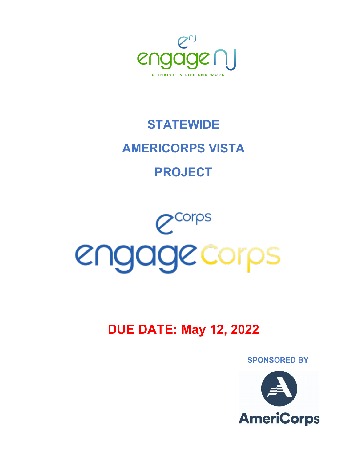

 **SPONSORED BY**

# **DUE DATE: May 12, 2022**

# $e^{ \frac{1}{2} \sqrt{1 - e^{ \frac{1}{2} \cdot e^{ \cdot \cdot \cdot}}}}$ engagecorps

# **STATEWIDE AMERICORPS VISTA PROJECT**

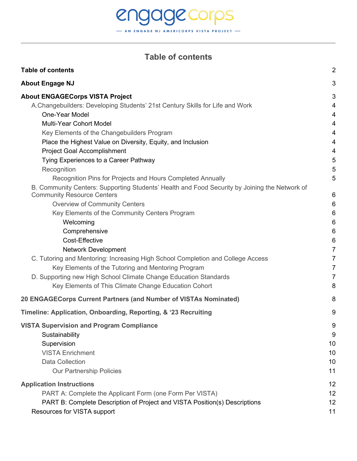# engagecorps - AN ENGAGE NJ AMERICORPS VISTA PROJECT -

# **Table of contents**

<span id="page-1-0"></span>

| <b>Table of contents</b>                                                                                                                                                                                                                                 | $\overline{2}$   |
|----------------------------------------------------------------------------------------------------------------------------------------------------------------------------------------------------------------------------------------------------------|------------------|
| <b>About Engage NJ</b>                                                                                                                                                                                                                                   | 3                |
| <b>About ENGAGECorps VISTA Project</b>                                                                                                                                                                                                                   | 3                |
| A.Changebuilders: Developing Students' 21st Century Skills for Life and Work                                                                                                                                                                             | 4                |
| One-Year Model                                                                                                                                                                                                                                           | 4                |
| <b>Multi-Year Cohort Model</b>                                                                                                                                                                                                                           | 4                |
| Key Elements of the Changebuilders Program                                                                                                                                                                                                               | 4                |
| Place the Highest Value on Diversity, Equity, and Inclusion                                                                                                                                                                                              | 4                |
| <b>Project Goal Accomplishment</b>                                                                                                                                                                                                                       | 4                |
| Tying Experiences to a Career Pathway<br>Recognition<br>Recognition Pins for Projects and Hours Completed Annually<br>B. Community Centers: Supporting Students' Health and Food Security by Joining the Network of<br><b>Community Resource Centers</b> | 5<br>5<br>5<br>6 |
| <b>Overview of Community Centers</b>                                                                                                                                                                                                                     | 6                |
| Key Elements of the Community Centers Program                                                                                                                                                                                                            | 6                |
| Welcoming                                                                                                                                                                                                                                                | 6                |
| Comprehensive                                                                                                                                                                                                                                            | 6                |
| Cost-Effective                                                                                                                                                                                                                                           | 6                |
| <b>Network Development</b>                                                                                                                                                                                                                               | $\overline{7}$   |
| C. Tutoring and Mentoring: Increasing High School Completion and College Access                                                                                                                                                                          | $\overline{7}$   |
| Key Elements of the Tutoring and Mentoring Program                                                                                                                                                                                                       | $\overline{7}$   |
| D. Supporting new High School Climate Change Education Standards                                                                                                                                                                                         | $\overline{7}$   |
| Key Elements of This Climate Change Education Cohort                                                                                                                                                                                                     | 8                |
| 20 ENGAGECorps Current Partners (and Number of VISTAs Nominated)                                                                                                                                                                                         | 8                |
| Timeline: Application, Onboarding, Reporting, & '23 Recruiting                                                                                                                                                                                           | 9                |
| <b>VISTA Supervision and Program Compliance</b>                                                                                                                                                                                                          | 9                |
| Sustainability                                                                                                                                                                                                                                           | 9                |
| Supervision                                                                                                                                                                                                                                              | 10               |
| <b>VISTA Enrichment</b>                                                                                                                                                                                                                                  | 10               |
| Data Collection                                                                                                                                                                                                                                          | 10               |
| <b>Our Partnership Policies</b>                                                                                                                                                                                                                          | 11               |
| <b>Application Instructions</b>                                                                                                                                                                                                                          | 12               |
| PART A: Complete the Applicant Form (one Form Per VISTA)                                                                                                                                                                                                 | 12               |
| PART B: Complete Description of Project and VISTA Position(s) Descriptions                                                                                                                                                                               | 12               |
| Resources for VISTA support                                                                                                                                                                                                                              | 11               |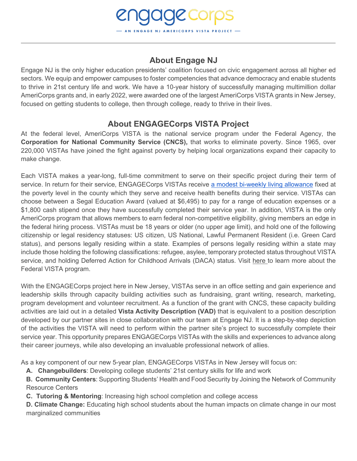# **About Engage NJ**

**DIE CORPS** 

<span id="page-2-0"></span>Engage NJ is the only higher education presidents' coalition focused on civic engagement across all higher ed sectors. We equip and empower campuses to foster competencies that advance democracy and enable students to thrive in 21st century life and work. We have a 10-year history of successfully managing multimillion dollar AmeriCorps grants and, in early 2022, were awarded one of the largest AmeriCorps VISTA grants in New Jersey, focused on getting students to college, then through college, ready to thrive in their lives.

### **About ENGAGECorps VISTA Project**

<span id="page-2-1"></span>At the federal level, AmeriCorps VISTA is the national service program under the Federal Agency, the **Corporation for National Community Service (CNCS),** that works to eliminate poverty. Since 1965, over 220,000 VISTAs have joined the fight against poverty by helping local organizations expand their capacity to make change.

Each VISTA makes a year-long, full-time commitment to serve on their specific project during their term of service. In return for their service, ENGAGECorps VISTAs receive [a modest bi-weekly living allowance](https://drive.google.com/file/d/1mQwRIdc4FrH2VkP69HKrM88ToHaSmced/view?usp=sharing) fixed at the poverty level in the county which they serve and receive health benefits during their service. VISTAs can choose between a Segal Education Award (valued at \$6,495) to pay for a range of education expenses or a \$1,800 cash stipend once they have successfully completed their service year. In addition, VISTA is the only AmeriCorps program that allows members to earn federal non-competitive eligibility, giving members an edge in the federal hiring process. VISTAs must be 18 years or older (no upper age limit), and hold one of the following citizenship or legal residency statuses: US citizen, US National, Lawful Permanent Resident (i.e. Green Card status), and persons legally residing within a state. Examples of persons legally residing within a state may include those holding the following classifications: refugee, asylee, temporary protected status throughout VISTA service, and holding Deferred Action for Childhood Arrivals (DACA) status. Visit [here t](https://americorps.gov/serve/fit-finder/americorps-vista)o learn more about the Federal VISTA program.

With the ENGAGECorps project here in New Jersey, VISTAs serve in an office setting and gain experience and leadership skills through capacity building activities such as fundraising, grant writing, research, marketing, program development and volunteer recruitment. As a function of the grant with CNCS, these capacity building activities are laid out in a detailed **Vista Activity Description (VAD)** that is equivalent to a position description developed by our partner sites in close collaboration with our team at Engage NJ. It is a step-by-step depiction of the activities the VISTA will need to perform within the partner site's project to successfully complete their service year. This opportunity prepares ENGAGECorps VISTAs with the skills and experiences to advance along their career journeys, while also developing an invaluable professional network of allies.

As a key component of our new 5-year plan, ENGAGECorps VISTAs in New Jersey will focus on:

**A. Changebuilders**: Developing college students' 21st century skills for life and work

**B. Community Centers**: Supporting Students' Health and Food Security by Joining the Network of Community Resource Centers

**C. Tutoring & Mentoring**: Increasing high school completion and college access

**D. Climate Change:** Educating high school students about the human impacts on climate change in our most marginalized communities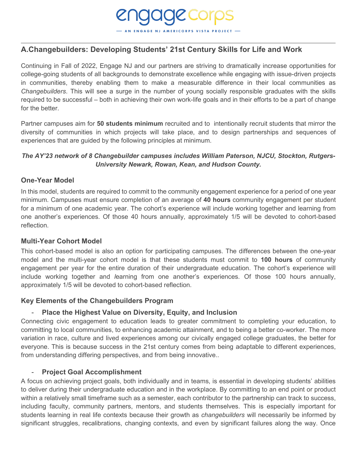#### <span id="page-3-0"></span>**A.Changebuilders: Developing Students' 21st Century Skills for Life and Work**

Continuing in Fall of 2022, Engage NJ and our partners are striving to dramatically increase opportunities for college-going students of all backgrounds to demonstrate excellence while engaging with issue-driven projects in communities, thereby enabling them to make a measurable difference in their local communities as *Changebuilders*. This will see a surge in the number of young socially responsible graduates with the skills required to be successful – both in achieving their own work-life goals and in their efforts to be a part of change for the better

**IGAGE COrpS** 

Partner campuses aim for **50 students minimum** recruited and to intentionally recruit students that mirror the diversity of communities in which projects will take place, and to design partnerships and sequences of experiences that are guided by the following principles at minimum.

#### *The AY'23 network of 8 Changebuilder campuses includes William Paterson, NJCU, Stockton, Rutgers-University Newark, Rowan, Kean, and Hudson County.*

#### <span id="page-3-1"></span>**One-Year Model**

In this model, students are required to commit to the community engagement experience for a period of one year minimum. Campuses must ensure completion of an average of **40 hours** community engagement per student for a minimum of one academic year. The cohort's experience will include working together and learning from one another's experiences. Of those 40 hours annually, approximately 1/5 will be devoted to cohort-based reflection.

#### <span id="page-3-2"></span>**Multi-Year Cohort Model**

This cohort-based model is also an option for participating campuses. The differences between the one-year model and the multi-year cohort model is that these students must commit to **100 hours** of community engagement per year for the entire duration of their undergraduate education. The cohort's experience will include working together and *l*earning from one another's experiences*.* Of those 100 hours annually, approximately 1/5 will be devoted to cohort-based reflection.

#### <span id="page-3-3"></span>**Key Elements of the Changebuilders Program**

#### - **Place the Highest Value on Diversity, Equity, and Inclusion**

<span id="page-3-4"></span>Connecting civic engagement to education leads to greater commitment to completing your education, to committing to local communities, to enhancing academic attainment, and to being a better co-worker. The more variation in race, culture and lived experiences among our civically engaged college graduates, the better for everyone. This is because success in the 21st century comes from being adaptable to different experiences, from understanding differing perspectives, and from being innovative..

#### **Project Goal Accomplishment**

<span id="page-3-5"></span>A focus on achieving project goals, both individually and in teams, is essential in developing students' abilities to deliver during their undergraduate education and in the workplace. By committing to an end point or product within a relatively small timeframe such as a semester, each contributor to the partnership can track to success, including faculty, community partners, mentors, and students themselves. This is especially important for students learning in real life contexts because their growth as *changebuilders* will necessarily be informed by significant struggles, recalibrations, changing contexts, and even by significant failures along the way. Once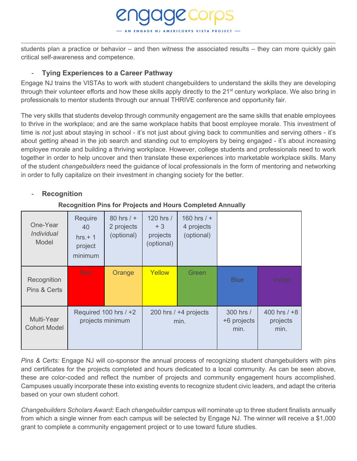students plan a practice or behavior – and then witness the associated results – they can more quickly gain critical self-awareness and competence.

**OIOC COIPS** 

#### - **Tying Experiences to a Career Pathway**

<span id="page-4-0"></span>Engage NJ trains the VISTAs to work with student changebuilders to understand the skills they are developing through their volunteer efforts and how these skills apply directly to the 21<sup>st</sup> century workplace. We also bring in professionals to mentor students through our annual THRIVE conference and opportunity fair.

The very skills that students develop through community engagement are the same skills that enable employees to thrive in the workplace; and are the same workplace habits that boost employee morale. This investment of time is *not* just about staying in school - it's not just about giving back to communities and serving others - it's about getting ahead in the job search and standing out to employers by being engaged - it's about increasing employee morale and building a thriving workplace. However, college students and professionals need to work together in order to help uncover and then translate these experiences into marketable workplace skills. Many of the student *changebuilders* need the guidance of local professionals in the form of mentoring and networking in order to fully capitalize on their investment in changing society for the better.

#### <span id="page-4-1"></span>- **Recognition**

#### **Recognition Pins for Projects and Hours Completed Annually**

<span id="page-4-2"></span>

| One-Year<br><i>Individual</i><br>Model | Require<br>40<br>$hrs.+1$<br>project<br>minimum | 80 hrs $/ +$<br>2 projects<br>(optional) | 120 hrs /<br>$+3$<br>projects<br>(optional) | 160 hrs $/ +$<br>4 projects<br>(optional) |                                  |                                    |
|----------------------------------------|-------------------------------------------------|------------------------------------------|---------------------------------------------|-------------------------------------------|----------------------------------|------------------------------------|
| Recognition<br>Pins & Certs            | <b>Red</b>                                      | Orange                                   | Yellow                                      | Green                                     | <b>Blue</b>                      | Indigo                             |
| Multi-Year<br><b>Cohort Model</b>      | Required 100 hrs / +2<br>projects minimum       |                                          | 200 hrs $/ +4$ projects<br>min.             |                                           | 300 hrs /<br>+6 projects<br>min. | 400 hrs $/ +8$<br>projects<br>min. |

*Pins & Certs:* Engage NJ will co-sponsor the annual process of recognizing student changebuilders with pins and certificates for the projects completed and hours dedicated to a local community. As can be seen above, these are color-coded and reflect the number of projects and community engagement hours accomplished. Campuses usually incorporate these into existing events to recognize student civic leaders, and adapt the criteria based on your own student cohort.

*Changebuilders Scholars Award***:** Each *changebuilder* campus will nominate up to three student finalists annually from which a single winner from each campus will be selected by Engage NJ. The winner will receive a \$1,000 grant to complete a community engagement project or to use toward future studies.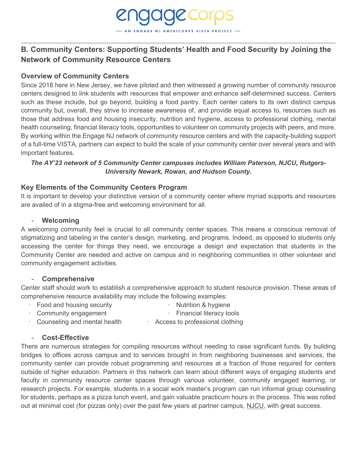# <span id="page-5-0"></span>**B. Community Centers: Supporting Students' Health and Food Security by Joining the Network of Community Resource Centers**

**IGAGE COrpS** 

#### <span id="page-5-1"></span>**Overview of Community Centers**

Since 2018 here in New Jersey, we have piloted and then witnessed a growing number of community resource centers designed to link students with resources that empower and enhance self-determined success. Centers such as these include, but go beyond, building a food pantry. Each center caters to its own distinct campus community but, overall, they strive to increase awareness of, and provide equal access to, resources such as those that address food and housing insecurity, nutrition and hygiene, access to professional clothing, mental health counseling, financial literacy tools, opportunities to volunteer on community projects with peers, and more. By working within the Engage NJ network of community resource centers and with the capacity-building support of a full-time VISTA, partners can expect to build the scale of your community center over several years and with important features.

#### *The AY'23 network of 5 Community Center campuses includes William Paterson, NJCU, Rutgers-University Newark, Rowan, and Hudson County.*

#### <span id="page-5-2"></span>**Key Elements of the Community Centers Program**

It is important to develop your distinctive version of a community center where myriad supports and resources are availed of in a stigma-free and welcoming environment for all.

#### - **Welcoming**

<span id="page-5-3"></span>A welcoming community feel is crucial to all community center spaces. This means a conscious removal of stigmatizing and labeling in the center's design, marketing, and programs. Indeed, as opposed to students only accessing the center for things they need, we encourage a design and expectation that students in the Community Center are needed and active on campus and in neighboring communities in other volunteer and community engagement activities.

#### - **Comprehensive**

<span id="page-5-4"></span>Center staff should work to establish a comprehensive approach to student resource provision. These areas of comprehensive resource availability may include the following examples:

- Food and housing security **· Constant in the Solution & hygiene**
- Community engagement **Example 2** Financial literacy tools
	-
- <span id="page-5-5"></span>• Counseling and mental health **· Access to professional clothing**

#### - **Cost-Effective**

There are numerous strategies for compiling resources without needing to raise significant funds. By building bridges to offices across campus and to services brought in from neighboring businesses and services, the community center can provide robust programming and resources at a fraction of those required for centers outside of higher education. Partners in this network can learn about different ways of engaging students and faculty in community resource center spaces through various volunteer, community engaged learning, or research projects. For example, students in a social work master's program can run informal group counseling for students, perhaps as a pizza lunch event, and gain valuable practicum hours in the process. This was rolled out at minimal cost (for pizzas only) over the past few years at partner campus, [NJCU,](https://www.njcu.edu/student-life/campus-services-resources/community-center) with great success.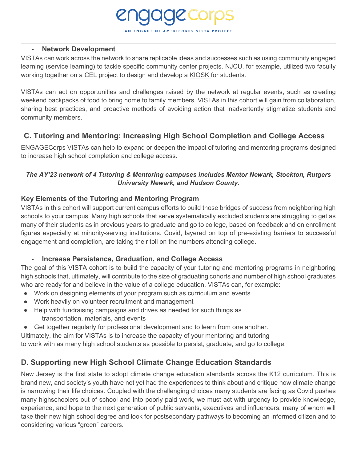#### **Network Development**

<span id="page-6-0"></span>VISTAs can work across the network to share replicable ideas and successes such as using community engaged learning (service learning) to tackle specific community center projects. NJCU, for example, utilized two faculty working together on a CEL project to design and develop a [KIOSK f](https://www.njcu.edu/student-life/campus-services-resources/community-center/njcu-kiosk)or students.

**OICCOrps** 

VISTAs can act on opportunities and challenges raised by the network at regular events, such as creating weekend backpacks of food to bring home to family members. VISTAs in this cohort will gain from collaboration, sharing best practices, and proactive methods of avoiding action that inadvertently stigmatize students and community members.

#### <span id="page-6-1"></span>**C. Tutoring and Mentoring: Increasing High School Completion and College Access**

ENGAGECorps VISTAs can help to expand or deepen the impact of tutoring and mentoring programs designed to increase high school completion and college access.

#### *The AY'23 network of 4 Tutoring & Mentoring campuses includes Mentor Newark, Stockton, Rutgers University Newark, and Hudson County.*

#### <span id="page-6-2"></span>**Key Elements of the Tutoring and Mentoring Program**

VISTAs in this cohort will support current campus efforts to build those bridges of success from neighboring high schools to your campus. Many high schools that serve systematically excluded students are struggling to get as many of their students as in previous years to graduate and go to college, based on feedback and on enrollment figures especially at minority-serving institutions. Covid, layered on top of pre-existing barriers to successful engagement and completion, are taking their toll on the numbers attending college.

#### - **Increase Persistence, Graduation, and College Access**

The goal of this VISTA cohort is to build the capacity of your tutoring and mentoring programs in neighboring high schools that, ultimately, will contribute to the size of graduating cohorts and number of high school graduates who are ready for and believe in the value of a college education. VISTAs can, for example:

- Work on designing elements of your program such as curriculum and events
- Work heavily on volunteer recruitment and management
- Help with fundraising campaigns and drives as needed for such things as transportation, materials, and events
- Get together regularly for professional development and to learn from one another.

Ultimately, the aim for VISTAs is to increase the capacity of your mentoring and tutoring

<span id="page-6-3"></span>to work with as many high school students as possible to persist, graduate, and go to college.

#### **D. Supporting new High School Climate Change Education Standards**

New Jersey is the first state to adopt climate change education standards across the K12 curriculum. This is brand new, and society's youth have not yet had the experiences to think about and critique how climate change is narrowing their life choices. Coupled with the challenging choices many students are facing as Covid pushes many highschoolers out of school and into poorly paid work, we must act with urgency to provide knowledge, experience, and hope to the next generation of public servants, executives and influencers, many of whom will take their new high school degree and look for postsecondary pathways to becoming an informed citizen and to considering various "green" careers.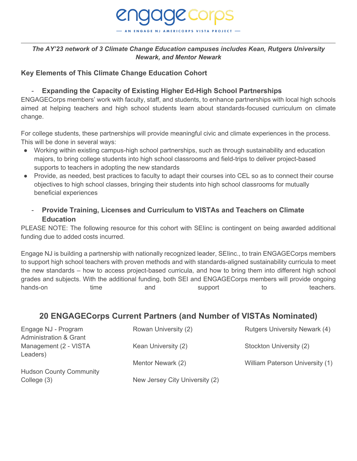

#### *The AY'23 network of 3 Climate Change Education campuses includes Kean, Rutgers University Newark, and Mentor Newark*

#### <span id="page-7-0"></span>**Key Elements of This Climate Change Education Cohort**

#### - **Expanding the Capacity of Existing Higher Ed-High School Partnerships**

ENGAGECorps members' work with faculty, staff, and students, to enhance partnerships with local high schools aimed at helping teachers and high school students learn about standards-focused curriculum on climate change.

For college students, these partnerships will provide meaningful civic and climate experiences in the process. This will be done in several ways:

- Working within existing campus-high school partnerships, such as through sustainability and education majors, to bring college students into high school classrooms and field-trips to deliver project-based supports to teachers in adopting the new standards
- Provide, as needed, best practices to faculty to adapt their courses into CEL so as to connect their course objectives to high school classes, bringing their students into high school classrooms for mutually beneficial experiences
	- **Provide Training, Licenses and Curriculum to VISTAs and Teachers on Climate Education**

PLEASE NOTE: The following resource for this cohort with SElinc is contingent on being awarded additional funding due to added costs incurred.

Engage NJ is building a partnership with nationally recognized leader, SEIinc., to train ENGAGECorps members to support high school teachers with proven methods and with standards-aligned sustainability curricula to meet the new standards – how to access project-based curricula, and how to bring them into different high school grades and subjects. With the additional funding, both SEI and ENGAGECorps members will provide ongoing hands-on time and support to teachers.

#### <span id="page-7-1"></span>**20 ENGAGECorps Current Partners (and Number of VISTAs Nominated)**

| Engage NJ - Program               | Rowan University (2)           | <b>Rutgers University Newark (4)</b> |
|-----------------------------------|--------------------------------|--------------------------------------|
| <b>Administration &amp; Grant</b> |                                |                                      |
| Management (2 - VISTA             | Kean University (2)            | Stockton University (2)              |
| Leaders)                          |                                |                                      |
|                                   | Mentor Newark (2)              | William Paterson University (1)      |
| <b>Hudson County Community</b>    |                                |                                      |
| College (3)                       | New Jersey City University (2) |                                      |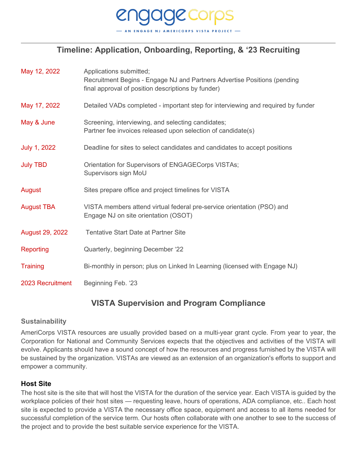

# **Timeline: Application, Onboarding, Reporting, & '23 Recruiting**

<span id="page-8-0"></span>

| May 12, 2022      | Applications submitted;<br>Recruitment Begins - Engage NJ and Partners Advertise Positions (pending<br>final approval of position descriptions by funder) |
|-------------------|-----------------------------------------------------------------------------------------------------------------------------------------------------------|
| May 17, 2022      | Detailed VADs completed - important step for interviewing and required by funder                                                                          |
| May & June        | Screening, interviewing, and selecting candidates;<br>Partner fee invoices released upon selection of candidate(s)                                        |
| July 1, 2022      | Deadline for sites to select candidates and candidates to accept positions                                                                                |
| <b>July TBD</b>   | Orientation for Supervisors of ENGAGECorps VISTAs;<br>Supervisors sign MoU                                                                                |
| August            | Sites prepare office and project timelines for VISTA                                                                                                      |
| <b>August TBA</b> | VISTA members attend virtual federal pre-service orientation (PSO) and<br>Engage NJ on site orientation (OSOT)                                            |
| August 29, 2022   | <b>Tentative Start Date at Partner Site</b>                                                                                                               |
| <b>Reporting</b>  | Quarterly, beginning December '22                                                                                                                         |
| <b>Training</b>   | Bi-monthly in person; plus on Linked In Learning (licensed with Engage NJ)                                                                                |
| 2023 Recruitment  | Beginning Feb. '23                                                                                                                                        |

### **VISTA Supervision and Program Compliance**

#### <span id="page-8-2"></span><span id="page-8-1"></span>**Sustainability**

AmeriCorps VISTA resources are usually provided based on a multi-year grant cycle. From year to year, the Corporation for National and Community Services expects that the objectives and activities of the VISTA will evolve. Applicants should have a sound concept of how the resources and progress furnished by the VISTA will be sustained by the organization. VISTAs are viewed as an extension of an organization's efforts to support and empower a community.

#### **Host Site**

The host site is the site that will host the VISTA for the duration of the service year. Each VISTA is guided by the workplace policies of their host sites — requesting leave, hours of operations, ADA compliance, etc.. Each host site is expected to provide a VISTA the necessary office space, equipment and access to all items needed for successful completion of the service term. Our hosts often collaborate with one another to see to the success of the project and to provide the best suitable service experience for the VISTA.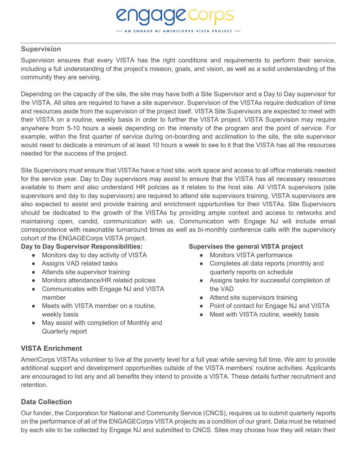#### <span id="page-9-0"></span>**Supervision**

Supervision ensures that every VISTA has the right conditions and requirements to perform their service, including a full understanding of the project's mission, goals, and vision, as well as a solid understanding of the community they are serving.

**JAGE CORPS** 

Depending on the capacity of the site, the site may have both a Site Supervisor and a Day to Day supervisor for the VISTA. All sites are required to have a site supervisor. Supervision of the VISTAs require dedication of time and resources aside from the supervision of the project itself. VISTA Site Supervisors are expected to meet with their VISTA on a routine, weekly basis in order to further the VISTA project. VISTA Supervision may require anywhere from 5-10 hours a week depending on the intensity of the program and the point of service. For example, within the first quarter of service during on-boarding and acclimation to the site, the site supervisor would need to dedicate a minimum of at least 10 hours a week to see to it that the VISTA has all the resources needed for the success of the project.

Site Supervisors must ensure that VISTAs have a host site, work space and access to all office materials needed for the service year. Day to Day supervisors may assist to ensure that the VISTA has all necessary resources available to them and also understand HR policies as it relates to the host site. All VISTA supervisors (site supervisors and day to day supervisors) are required to attend site supervisors training. VISTA supervisors are also expected to assist and provide training and enrichment opportunities for their VISTAs. Site Supervisors should be dedicated to the growth of the VISTAs by providing ample context and access to networks and maintaining open, candid, communication with us. Communication with Engage NJ will include email correspondence with reasonable turnaround times as well as bi-monthly conference calls with the supervisory cohort of the ENGAGECorps VISTA project.

#### **Day to Day Supervisor Responsibilities:**

- Monitors day to day activity of VISTA
- Assigns VAD related tasks
- Attends site supervisor training
- Monitors attendance/HR related policies
- Communicates with Engage NJ and VISTA member
- Meets with VISTA member on a routine, weekly basis
- May assist with completion of Monthly and Quarterly report

#### **Supervises the general VISTA project**

- Monitors VISTA performance
- Completes all data reports (monthly and quarterly reports on schedule
- Assigns tasks for successful completion of the VAD
- Attend site supervisors training
- Point of contact for Engage NJ and VISTA
- Meet with VISTA routine, weekly basis

#### <span id="page-9-1"></span>**VISTA Enrichment**

AmeriCorps VISTAs volunteer to live at the poverty level for a full year while serving full time. We aim to provide additional support and development opportunities outside of the VISTA members' routine activities. Applicants are encouraged to list any and all benefits they intend to provide a VISTA. These details further recruitment and retention.

#### <span id="page-9-2"></span>**Data Collection**

Our funder, the Corporation for National and Community Service (CNCS), requires us to submit quarterly reports on the performance of all of the ENGAGECorps VISTA projects as a condition of our grant. Data must be retained by each site to be collected by Engage NJ and submitted to CNCS. Sites may choose how they will retain their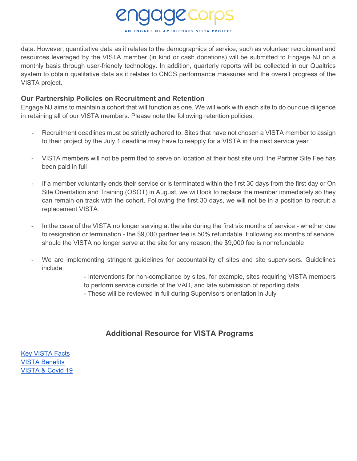data. However, quantitative data as it relates to the demographics of service, such as volunteer recruitment and resources leveraged by the VISTA member (in kind or cash donations) will be submitted to Engage NJ on a monthly basis through user-friendly technology. In addition, quarterly reports will be collected in our Qualtrics system to obtain qualitative data as it relates to CNCS performance measures and the overall progress of the VISTA project.

#### <span id="page-10-0"></span>**Our Partnership Policies on Recruitment and Retention**

Engage NJ aims to maintain a cohort that will function as one. We will work with each site to do our due diligence in retaining all of our VISTA members. Please note the following retention policies:

- Recruitment deadlines must be strictly adhered to. Sites that have not chosen a VISTA member to assign to their project by the July 1 deadline may have to reapply for a VISTA in the next service year
- VISTA members will not be permitted to serve on location at their host site until the Partner Site Fee has been paid in full
- If a member voluntarily ends their service or is terminated within the first 30 days from the first day or On Site Orientation and Training (OSOT) in August, we will look to replace the member immediately so they can remain on track with the cohort. Following the first 30 days, we will not be in a position to recruit a replacement VISTA
- In the case of the VISTA no longer serving at the site during the first six months of service whether due to resignation or termination - the \$9,000 partner fee is 50% refundable. Following six months of service, should the VISTA no longer serve at the site for any reason, the \$9,000 fee is nonrefundable
- We are implementing stringent guidelines for accountability of sites and site supervisors. Guidelines include:

- Interventions for non-compliance by sites, for example, sites requiring VISTA members to perform service outside of the VAD, and late submission of reporting data

- These will be reviewed in full during Supervisors orientation in July

#### **Additional Resource for VISTA Programs**

<span id="page-10-1"></span>[Key VISTA Facts](https://drive.google.com/file/d/1Qe1UFaYUNiIrmDG2DH5rMmDBaRKyzXZT/view?usp=sharing) [VISTA Benefits](https://americorps.gov/members-volunteers/vista/benefits) [VISTA & Covid 19](https://americorps.gov/coronavirus/americorps-vista-questions)